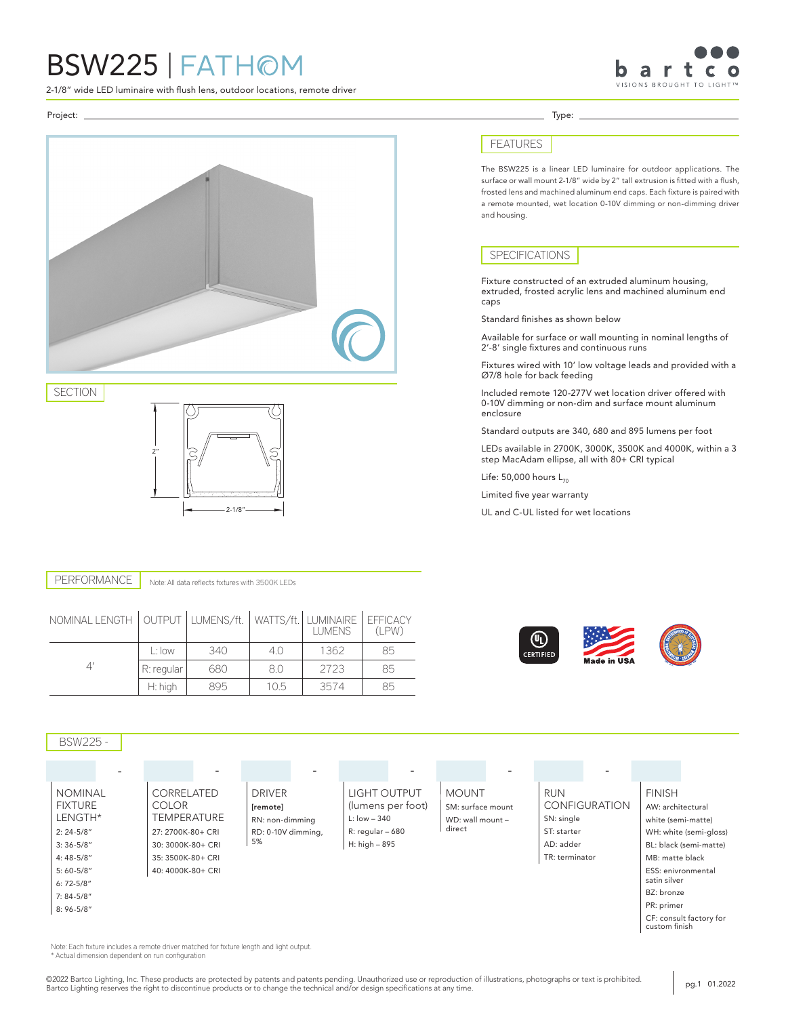# BSW225 | FATHOM

2-1/8" wide LED luminaire with flush lens, outdoor locations, remote driver



Project: Type:



### SECTION



### Note: All data reflects fixtures with 3500K LEDs PERFORMANCE

| NOMINAL LENGTH   OUTPUT   LUMENS/ft. |            |     |      | WATTS/ft.   LUMINAIRE   EFFICACY<br><b>LUMENS</b> | (LPW) |
|--------------------------------------|------------|-----|------|---------------------------------------------------|-------|
|                                      | L: Iow     | 340 | 4.0  | 1362                                              | 85    |
|                                      | R: regular | 680 | 8.0  | 2723                                              | 85    |
|                                      | $H:$ high  | 895 | 10.5 | 3574                                              | 85    |





©2022 Bartco Lighting, Inc. These products are protected by patents and patents pending. Unauthorized use or reproduction of illustrations, photographs or text is prohibited.

\* Actual dimension dependent on run configuration

# FEATURES

The BSW225 is a linear LED luminaire for outdoor applications. The surface or wall mount 2-1/8" wide by 2" tall extrusion is fitted with a flush, frosted lens and machined aluminum end caps. Each fixture is paired with a remote mounted, wet location 0-10V dimming or non-dimming driver and housing.

## SPECIFICATIONS

Fixture constructed of an extruded aluminum housing, extruded, frosted acrylic lens and machined aluminum end caps

Standard finishes as shown below

Available for surface or wall mounting in nominal lengths of 2'-8' single fixtures and continuous runs

Fixtures wired with 10' low voltage leads and provided with a Ø7/8 hole for back feeding

Included remote 120-277V wet location driver offered with 0-10V dimming or non-dim and surface mount aluminum enclosure

Standard outputs are 340, 680 and 895 lumens per foot

LEDs available in 2700K, 3000K, 3500K and 4000K, within a 3 step MacAdam ellipse, all with 80+ CRI typical

Life:  $50,000$  hours  $L_{70}$ 

Limited five year warranty

UL and C-UL listed for wet locations